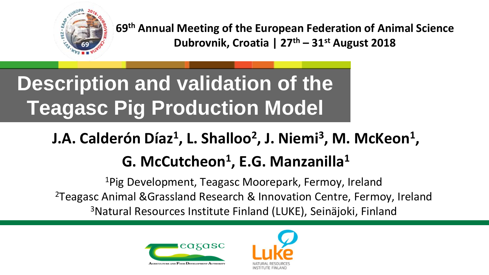

**69th Annual Meeting of the European Federation of Animal Science Dubrovnik, Croatia | 27th – 31st August 2018**

# **Description and validation of the Teagasc Pig Production Model**

## **J.A. Calderón Díaz<sup>1</sup> , L. Shalloo<sup>2</sup> , J. Niemi<sup>3</sup> , M. McKeon<sup>1</sup> , G. McCutcheon<sup>1</sup> , E.G. Manzanilla<sup>1</sup>**

<sup>1</sup>Pig Development, Teagasc Moorepark, Fermoy, Ireland <sup>2</sup>Teagasc Animal &Grassland Research & Innovation Centre, Fermoy, Ireland <sup>3</sup>Natural Resources Institute Finland (LUKE), Seinäjoki, Finland



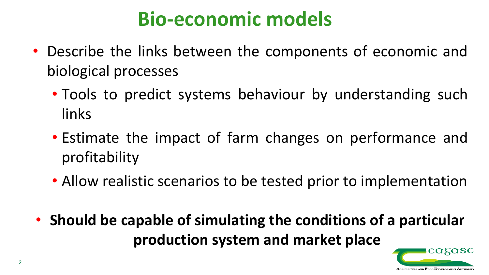# **Bio-economic models**

- Describe the links between the components of economic and biological processes
	- Tools to predict systems behaviour by understanding such links
	- Estimate the impact of farm changes on performance and profitability
	- Allow realistic scenarios to be tested prior to implementation
- **Should be capable of simulating the conditions of a particular production system and market place**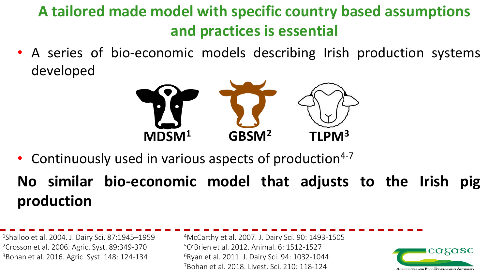### **A tailored made model with specific country based assumptions and practices is essential**

• A series of bio-economic models describing Irish production systems developed



• Continuously used in various aspects of production<sup>4-7</sup>

**No similar bio-economic model that adjusts to the Irish pig production**

<sup>1</sup>Shalloo et al. 2004. J. Dairy Sci. 87:1945–1959 <sup>2</sup>Crosson et al. 2006. Agric. Syst. 89:349-370 <sup>3</sup>Bohan et al. 2016. Agric. Syst. 148: 124-134

McCarthy et al. 2007. J. Dairy Sci. 90: 1493-1505 O'Brien et al. 2012. Animal. 6: 1512-1527 Ryan et al. 2011. J. Dairy Sci. 94: 1032-1044 Bohan et al. 2018. Livest. Sci. 210: 118-124

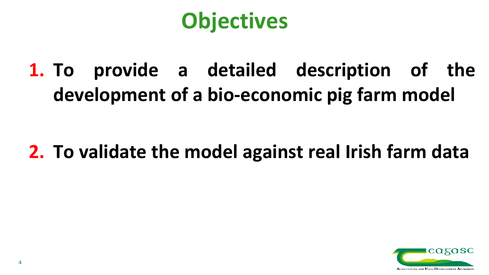# **Objectives**

**1. To provide a detailed description of the development of a bio-economic pig farm model**

### **2. To validate the model against real Irish farm data**

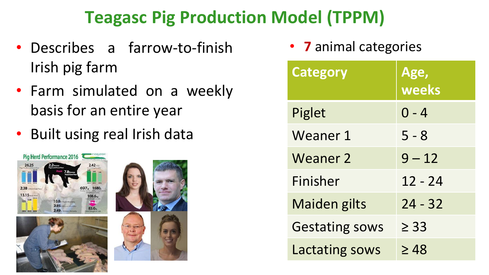### **Teagasc Pig Production Model (TPPM)**

- Describes a farrow-to-finish Irish pig farm
- Farm simulated on a weekly basis for an entire year
- Built using real Irish data



• **7** animal categories

| <b>Category</b>       | Age,<br>weeks |
|-----------------------|---------------|
| Piglet                | $0 - 4$       |
| Weaner 1              | $5 - 8$       |
| Weaner 2              | $9 - 12$      |
| Finisher              | $12 - 24$     |
| <b>Maiden gilts</b>   | $24 - 32$     |
| <b>Gestating sows</b> | $\geq$ 33     |
| <b>Lactating sows</b> | $\geq 48$     |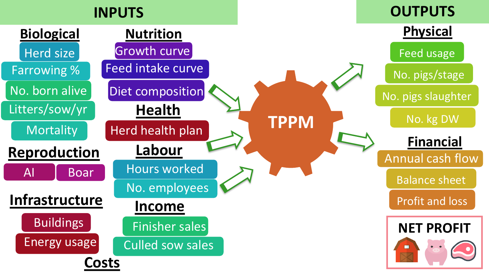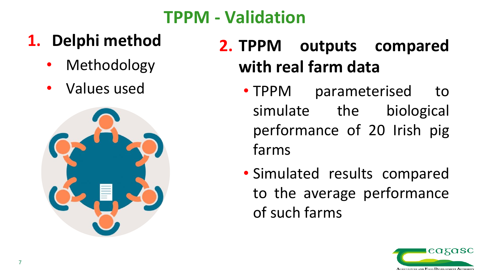### **TPPM - Validation**

### **1. Delphi method**

- Methodology
- Values used



### **2. TPPM outputs compared with real farm data**

- TPPM parameterised to simulate the biological performance of 20 Irish pig farms
- Simulated results compared to the average performance of such farms

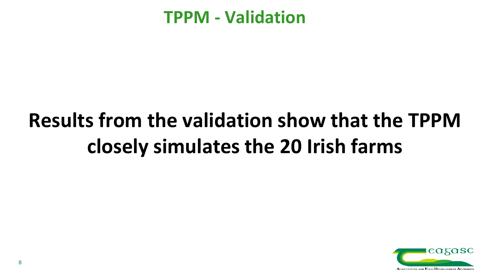#### **TPPM - Validation**

# **Results from the validation show that the TPPM closely simulates the 20 Irish farms**

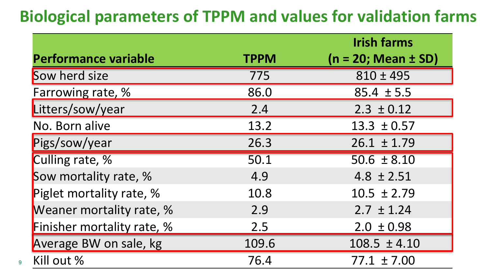### **Biological parameters of TPPM and values for validation farms**

|                             |             | <b>Irish farms</b>      |  |  |
|-----------------------------|-------------|-------------------------|--|--|
| <b>Performance variable</b> | <b>TPPM</b> | $(n = 20; Mean \pm SD)$ |  |  |
| Sow herd size               | 775         | $810 \pm 495$           |  |  |
| Farrowing rate, %           | 86.0        | $85.4 \pm 5.5$          |  |  |
| Litters/sow/year            | 2.4         | $2.3 \pm 0.12$          |  |  |
| No. Born alive              | 13.2        | $13.3 \pm 0.57$         |  |  |
| Pigs/sow/year               | 26.3        | $26.1 \pm 1.79$         |  |  |
| Culling rate, %             | 50.1        | $50.6 \pm 8.10$         |  |  |
| Sow mortality rate, %       | 4.9         | $4.8 \pm 2.51$          |  |  |
| Piglet mortality rate, %    | 10.8        | $10.5 \pm 2.79$         |  |  |
| Weaner mortality rate, %    | 2.9         | $2.7 \pm 1.24$          |  |  |
| Finisher mortality rate, %  | 2.5         | $2.0 \pm 0.98$          |  |  |
| Average BW on sale, kg      | 109.6       | $108.5 \pm 4.10$        |  |  |
| Kill out %                  | 76.4        | $77.1 \pm 7.00$         |  |  |

9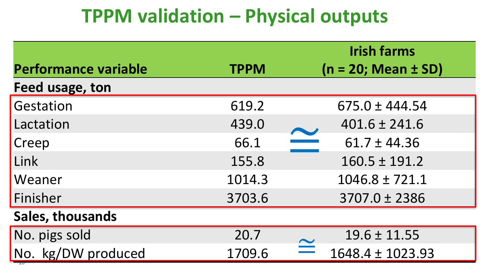### **TPPM validation – Physical outputs**

|                             |             | <b>Irish farms</b>                                                                                                                                     |  |  |
|-----------------------------|-------------|--------------------------------------------------------------------------------------------------------------------------------------------------------|--|--|
| <b>Performance variable</b> | <b>TPPM</b> | $(n = 20; Mean \pm SD)$                                                                                                                                |  |  |
| Feed usage, ton             |             |                                                                                                                                                        |  |  |
| Gestation                   | 619.2       | $675.0 \pm 444.54$                                                                                                                                     |  |  |
| Lactation                   | 439.0       | $401.6 \pm 241.6$                                                                                                                                      |  |  |
| Creep                       | 66.1        | $61.7 \pm 44.36$<br><u> Listen van die Stad van die Stad van die Stad van die Stad van die Stad van die Stad van die Stad van die Stad<br/>Gebeure</u> |  |  |
| Link                        | 155.8       | $160.5 \pm 191.2$                                                                                                                                      |  |  |
| Weaner                      | 1014.3      | $1046.8 \pm 721.1$                                                                                                                                     |  |  |
| Finisher                    | 3703.6      | 3707.0 ± 2386                                                                                                                                          |  |  |
| Sales, thousands            |             |                                                                                                                                                        |  |  |
| No. pigs sold               | 20.7        | $19.6 \pm 11.55$                                                                                                                                       |  |  |
| No. kg/DW produced          | 1709.6      | $1648.4 \pm 1023.93$                                                                                                                                   |  |  |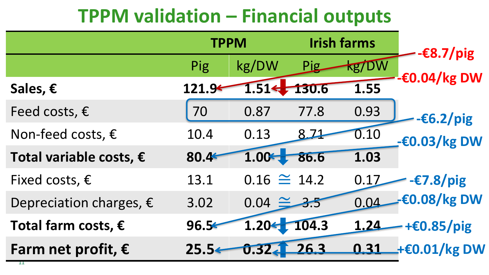### **TPPM validation – Financial outputs**

|                                  | <b>TPPM</b>      |                   | <b>Irish farms</b> |       | $-\epsilon 8.7$ /pig |
|----------------------------------|------------------|-------------------|--------------------|-------|----------------------|
|                                  | Pig              | kg/DW             | <u>Pig</u>         | kg/DW |                      |
| Sales, €                         | 121.9            | 1.51<             | 130.6              | 1.55  | $-60.04/kg$ DW       |
| Feed costs, $\epsilon$           | 70               | 0.87              | 77.8               | 0.93  | $-\epsilon$ 6.2/pig  |
| Non-feed costs, $\epsilon$       | 10.4             | 0.13              | 8.71               | 0.10  | $-60.03/kg$ DW       |
| Total variable costs, €          | 80.4             | $1.00 -$          | 86.6               | 1.03  |                      |
| Fixed costs, $\epsilon$          | 13.1             | $0.16 \cong 14.2$ |                    | 0.17  | $-\epsilon$ 7.8/pig  |
| Depreciation charges, $\epsilon$ | 3.02             | $0.04 \cong 3.5$  |                    | 0.04  | - €0.08/kg DW        |
| Total farm costs, $\epsilon$     | 96.5 <sup></sup> | 1.20<             | 104.3              | 1.24  | $+\epsilon$ 0.85/pig |
| Farm net profit, $\epsilon$      |                  |                   | 26.3               | 0.31  | <b>+€0.01/kg DW</b>  |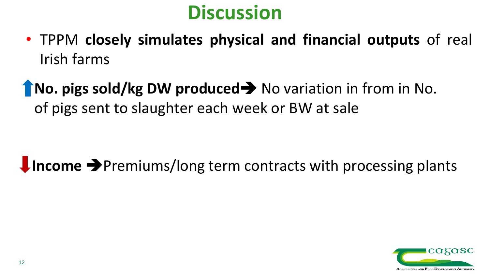# **Discussion**

- TPPM **closely simulates physical and financial outputs** of real Irish farms
- **No. pigs sold/kg DW produced**➔ No variation in from in No. of pigs sent to slaughter each week or BW at sale

↓Income → Premiums/long term contracts with processing plants

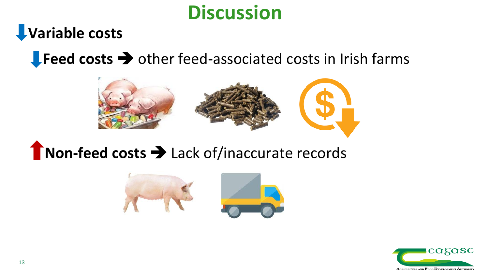# **Discussion**

### **Variable costs**

↓ Feed costs → other feed-associated costs in Irish farms



### ■ **Non-feed costs →** Lack of/inaccurate records



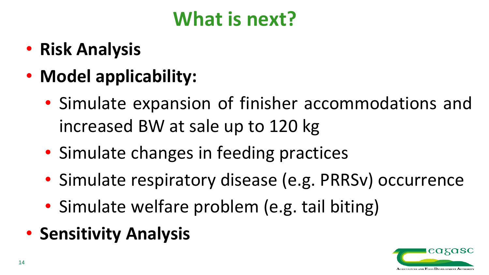# **What is next?**

- **Risk Analysis**
- **Model applicability:**
	- Simulate expansion of finisher accommodations and increased BW at sale up to 120 kg
	- Simulate changes in feeding practices
	- Simulate respiratory disease (e.g. PRRSv) occurrence
	- Simulate welfare problem (e.g. tail biting)
- **Sensitivity Analysis**